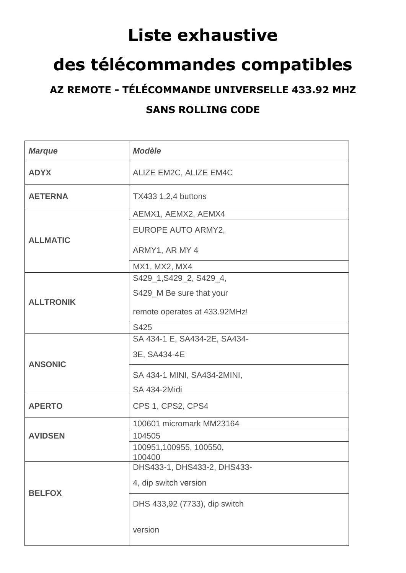## **Liste exhaustive**

## **des télécommandes compatibles**

**AZ REMOTE - TÉLÉCOMMANDE UNIVERSELLE 433.92 MHZ**

## **SANS ROLLING CODE**

| <b>Marque</b>    | <b>Modèle</b>                    |
|------------------|----------------------------------|
| <b>ADYX</b>      | ALIZE EM2C, ALIZE EM4C           |
| <b>AETERNA</b>   | <b>TX433 1,2,4 buttons</b>       |
| <b>ALLMATIC</b>  | AEMX1, AEMX2, AEMX4              |
|                  | EUROPE AUTO ARMY2,               |
|                  | ARMY1, AR MY 4                   |
|                  | MX1, MX2, MX4                    |
|                  | S429_1, S429_2, S429_4,          |
| <b>ALLTRONIK</b> | S429_M Be sure that your         |
|                  | remote operates at 433.92MHz!    |
|                  | S425                             |
|                  | SA 434-1 E, SA434-2E, SA434-     |
| <b>ANSONIC</b>   | 3E, SA434-4E                     |
|                  | SA 434-1 MINI, SA434-2MINI,      |
|                  | <b>SA 434-2Midi</b>              |
| <b>APERTO</b>    | CPS 1, CPS2, CPS4                |
| <b>AVIDSEN</b>   | 100601 micromark MM23164         |
|                  | 104505                           |
|                  | 100951,100955, 100550,<br>100400 |
| <b>BELFOX</b>    | DHS433-1, DHS433-2, DHS433-      |
|                  | 4, dip switch version            |
|                  | DHS 433,92 (7733), dip switch    |
|                  | version                          |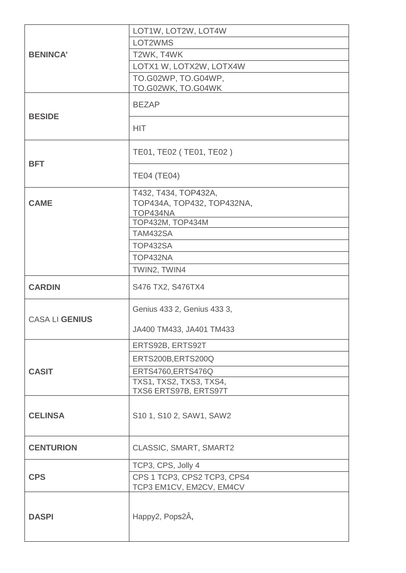|                       | LOT1W, LOT2W, LOT4W                 |
|-----------------------|-------------------------------------|
|                       | LOT2WMS                             |
| <b>BENINCA'</b>       | T2WK, T4WK                          |
|                       | LOTX1 W, LOTX2W, LOTX4W             |
|                       | TO.G02WP, TO.G04WP,                 |
|                       | TO.G02WK, TO.G04WK                  |
|                       | <b>BEZAP</b>                        |
| <b>BESIDE</b>         |                                     |
|                       | <b>HIT</b>                          |
|                       |                                     |
|                       | TE01, TE02 (TE01, TE02)             |
| <b>BFT</b>            |                                     |
|                       | <b>TE04 (TE04)</b>                  |
|                       | T432, T434, TOP432A,                |
| <b>CAME</b>           | TOP434A, TOP432, TOP432NA,          |
|                       | TOP434NA<br><b>TOP432M, TOP434M</b> |
|                       | <b>TAM432SA</b>                     |
|                       | <b>TOP432SA</b>                     |
|                       | TOP432NA                            |
|                       | TWIN2, TWIN4                        |
|                       |                                     |
| <b>CARDIN</b>         | S476 TX2, S476TX4                   |
|                       | Genius 433 2, Genius 433 3,         |
|                       |                                     |
| <b>CASA LI GENIUS</b> |                                     |
|                       | JA400 TM433, JA401 TM433            |
|                       | ERTS92B, ERTS92T                    |
|                       | ERTS200B, ERTS200Q                  |
| <b>CASIT</b>          | ERTS4760, ERTS476Q                  |
|                       | TXS1, TXS2, TXS3, TXS4,             |
|                       | TXS6 ERTS97B, ERTS97T               |
|                       |                                     |
| <b>CELINSA</b>        | S10 1, S10 2, SAW1, SAW2            |
|                       |                                     |
|                       |                                     |
| <b>CENTURION</b>      | CLASSIC, SMART, SMART2              |
|                       | TCP3, CPS, Jolly 4                  |
| <b>CPS</b>            | CPS 1 TCP3, CPS2 TCP3, CPS4         |
|                       | TCP3 EM1CV, EM2CV, EM4CV            |
|                       |                                     |
| <b>DASPI</b>          | Happy2, Pops2Â,                     |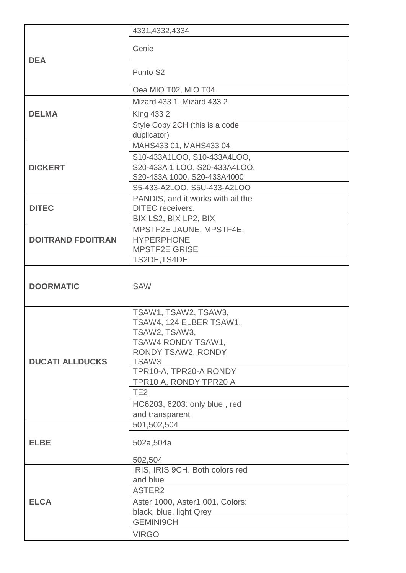| <b>DEA</b>               | 4331,4332,4334                                                   |
|--------------------------|------------------------------------------------------------------|
|                          | Genie                                                            |
|                          | Punto S <sub>2</sub>                                             |
|                          | Oea MIO T02, MIO T04                                             |
|                          | Mizard 433 1, Mizard 433 2                                       |
| <b>DELMA</b>             | King 433 2                                                       |
|                          | Style Copy 2CH (this is a code                                   |
|                          | duplicator)                                                      |
|                          | MAHS433 01, MAHS433 04                                           |
|                          | S10-433A1LOO, S10-433A4LOO,                                      |
| <b>DICKERT</b>           | S20-433A 1 LOO, S20-433A4LOO,                                    |
|                          | S20-433A 1000, S20-433A4000                                      |
|                          | S5-433-A2LOO, S5U-433-A2LOO<br>PANDIS, and it works with ail the |
| <b>DITEC</b>             | <b>DITEC</b> receivers.                                          |
|                          | BIX LS2, BIX LP2, BIX                                            |
|                          | MPSTF2E JAUNE, MPSTF4E,                                          |
| <b>DOITRAND FDOITRAN</b> | <b>HYPERPHONE</b>                                                |
|                          | <b>MPSTF2E GRISE</b>                                             |
|                          | TS2DE, TS4DE                                                     |
| <b>DOORMATIC</b>         | <b>SAW</b>                                                       |
|                          |                                                                  |
|                          | TSAW1, TSAW2, TSAW3,                                             |
|                          | TSAW4, 124 ELBER TSAW1,<br>TSAW2, TSAW3,                         |
|                          | TSAW4 RONDY TSAW1,                                               |
|                          | RONDY TSAW2, RONDY                                               |
| <b>DUCATI ALLDUCKS</b>   | TSAW3                                                            |
|                          | TPR10-A, TPR20-A RONDY                                           |
|                          | TPR10 A, RONDY TPR20 A                                           |
|                          | TE <sub>2</sub>                                                  |
|                          | HC6203, 6203: only blue, red                                     |
|                          | and transparent<br>501,502,504                                   |
|                          |                                                                  |
| <b>ELBE</b>              | 502a,504a                                                        |
|                          | 502,504                                                          |
|                          | IRIS, IRIS 9CH. Both colors red                                  |
| <b>ELCA</b>              | and blue<br>ASTER2                                               |
|                          | Aster 1000, Aster1 001. Colors:                                  |
|                          | black, blue, light Qrey                                          |
|                          | <b>GEMINI9CH</b>                                                 |
|                          | <b>VIRGO</b>                                                     |
|                          |                                                                  |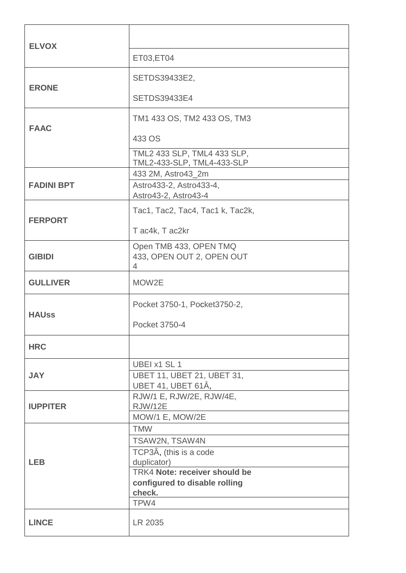| <b>ELVOX</b>      |                                                           |
|-------------------|-----------------------------------------------------------|
|                   | ET03, ET04                                                |
| <b>ERONE</b>      | SETDS39433E2,                                             |
|                   | SETDS39433E4                                              |
| <b>FAAC</b>       | TM1 433 OS, TM2 433 OS, TM3                               |
|                   | 433 OS                                                    |
|                   | TML2 433 SLP, TML4 433 SLP,<br>TML2-433-SLP, TML4-433-SLP |
|                   | 433 2M, Astro43_2m                                        |
| <b>FADINI BPT</b> | Astro433-2, Astro433-4,<br>Astro43-2, Astro43-4           |
| <b>FERPORT</b>    | Tac1, Tac2, Tac4, Tac1 k, Tac2k,                          |
|                   | T ac4k, T ac2kr                                           |
| <b>GIBIDI</b>     | Open TMB 433, OPEN TMQ<br>433, OPEN OUT 2, OPEN OUT<br>4  |
| <b>GULLIVER</b>   | MOW2E                                                     |
| <b>HAUss</b>      | Pocket 3750-1, Pocket 3750-2,                             |
|                   | Pocket 3750-4                                             |
| <b>HRC</b>        |                                                           |
| <b>JAY</b>        | UBEI x1 SL 1                                              |
|                   | <b>UBET 11, UBET 21, UBET 31,</b><br>UBET 41, UBET 61Â,   |
| <b>IUPPITER</b>   | RJW/1 E, RJW/2E, RJW/4E,<br><b>RJW/12E</b>                |
|                   | MOW/1 E, MOW/2E                                           |
|                   | <b>TMW</b>                                                |
|                   | TSAW2N, TSAW4N                                            |
| <b>LEB</b>        | TCP3Â, (this is a code                                    |
|                   | duplicator)<br><b>TRK4 Note: receiver should be</b>       |
|                   | configured to disable rolling                             |
|                   | check.                                                    |
|                   | TPW4                                                      |
| <b>LINCE</b>      | LR 2035                                                   |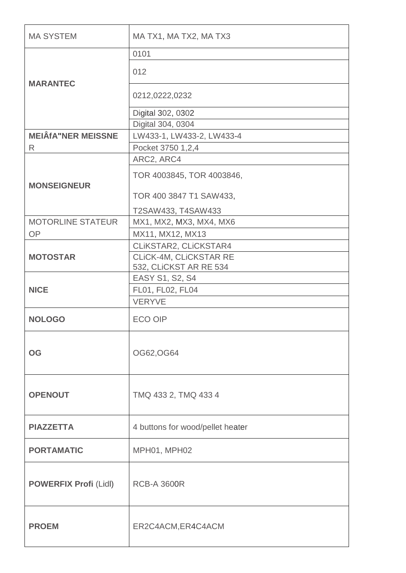| <b>MA SYSTEM</b>             | MA TX1, MA TX2, MA TX3           |
|------------------------------|----------------------------------|
| <b>MARANTEC</b>              | 0101                             |
|                              | 012                              |
|                              | 0212,0222,0232                   |
|                              | Digital 302, 0302                |
|                              | Digital 304, 0304                |
| <b>MEIÂfA"NER MEISSNE</b>    | LW433-1, LW433-2, LW433-4        |
| R                            | Pocket 3750 1,2,4                |
|                              | ARC2, ARC4                       |
| <b>MONSEIGNEUR</b>           | TOR 4003845, TOR 4003846,        |
|                              | TOR 400 3847 T1 SAW433,          |
|                              | T2SAW433, T4SAW433               |
| <b>MOTORLINE STATEUR</b>     | MX1, MX2, MX3, MX4, MX6          |
| <b>OP</b>                    | MX11, MX12, MX13                 |
|                              | CLIKSTAR2, CLICKSTAR4            |
| <b>MOTOSTAR</b>              | CLICK-4M, CLICKSTAR RE           |
|                              | 532, CLICKST AR RE 534           |
|                              | EASY S1, S2, S4                  |
| <b>NICE</b>                  | FL01, FL02, FL04                 |
|                              | <b>VERYVE</b>                    |
| <b>NOLOGO</b>                | <b>ECO OIP</b>                   |
| <b>OG</b>                    | OG62, OG64                       |
| <b>OPENOUT</b>               | TMQ 433 2, TMQ 433 4             |
| <b>PIAZZETTA</b>             | 4 buttons for wood/pellet heater |
| <b>PORTAMATIC</b>            | MPH01, MPH02                     |
| <b>POWERFIX Profi (Lidl)</b> | <b>RCB-A 3600R</b>               |
| <b>PROEM</b>                 | ER2C4ACM, ER4C4ACM               |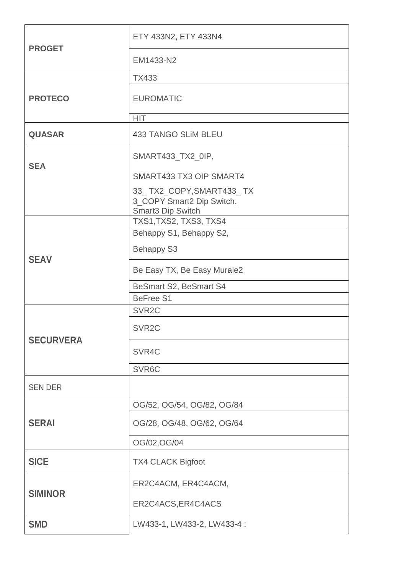| <b>PROGET</b>    | ETY 433N2, ETY 433N4                           |
|------------------|------------------------------------------------|
|                  | EM1433-N2                                      |
|                  | <b>TX433</b>                                   |
| <b>PROTECO</b>   | <b>EUROMATIC</b>                               |
|                  | <b>HIT</b>                                     |
| <b>QUASAR</b>    | 433 TANGO SLIM BLEU                            |
| <b>SEA</b>       | SMART433_TX2_0IP,                              |
|                  | SMART433 TX3 OIP SMART4                        |
|                  | 33_TX2_COPY,SMART433_TX                        |
|                  | 3_COPY Smart2 Dip Switch,<br>Smart3 Dip Switch |
|                  | TXS1, TXS2, TXS3, TXS4                         |
|                  | Behappy S1, Behappy S2,                        |
| <b>SEAV</b>      | <b>Behappy S3</b>                              |
|                  | Be Easy TX, Be Easy Murale2                    |
|                  | BeSmart S2, BeSmart S4                         |
|                  | BeFree S1                                      |
|                  | SVR <sub>2</sub> C                             |
|                  | SVR <sub>2</sub> C                             |
| <b>SECURVERA</b> | SVR <sub>4</sub> C                             |
|                  | SVR <sub>6</sub> C                             |
| <b>SEN DER</b>   |                                                |
| <b>SERAI</b>     | OG/52, OG/54, OG/82, OG/84                     |
|                  | OG/28, OG/48, OG/62, OG/64                     |
|                  | OG/02, OG/04                                   |
| <b>SICE</b>      | <b>TX4 CLACK Bigfoot</b>                       |
|                  | ER2C4ACM, ER4C4ACM,                            |
| <b>SIMINOR</b>   | ER2C4ACS, ER4C4ACS                             |
| <b>SMD</b>       | LW433-1, LW433-2, LW433-4:                     |